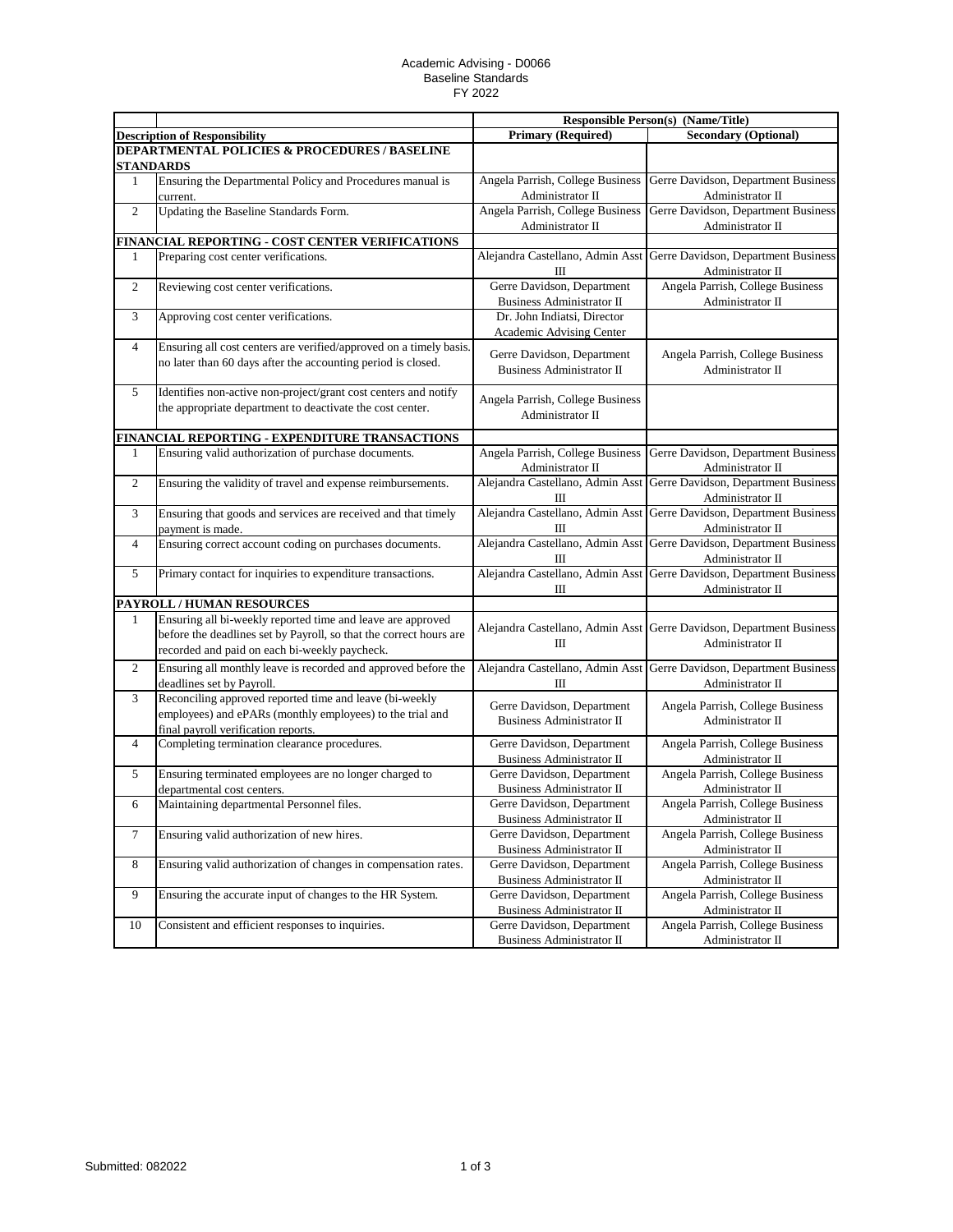## Academic Advising - D0066 Baseline Standards FY 2022

|                                                          |                                                                                                                              | <b>Responsible Person(s) (Name/Title)</b>                      |                                                                                          |  |  |  |
|----------------------------------------------------------|------------------------------------------------------------------------------------------------------------------------------|----------------------------------------------------------------|------------------------------------------------------------------------------------------|--|--|--|
|                                                          | <b>Description of Responsibility</b>                                                                                         | <b>Primary (Required)</b>                                      | <b>Secondary (Optional)</b>                                                              |  |  |  |
| <b>DEPARTMENTAL POLICIES &amp; PROCEDURES / BASELINE</b> |                                                                                                                              |                                                                |                                                                                          |  |  |  |
|                                                          | <b>STANDARDS</b>                                                                                                             |                                                                |                                                                                          |  |  |  |
| 1                                                        | Ensuring the Departmental Policy and Procedures manual is                                                                    | Angela Parrish, College Business                               | Gerre Davidson, Department Business                                                      |  |  |  |
|                                                          | current.                                                                                                                     | Administrator II                                               | Administrator II                                                                         |  |  |  |
| $\overline{c}$                                           | Updating the Baseline Standards Form.                                                                                        | Angela Parrish, College Business                               | Gerre Davidson, Department Business                                                      |  |  |  |
|                                                          |                                                                                                                              | Administrator II                                               | Administrator II                                                                         |  |  |  |
|                                                          | FINANCIAL REPORTING - COST CENTER VERIFICATIONS                                                                              |                                                                |                                                                                          |  |  |  |
| 1                                                        | Preparing cost center verifications.                                                                                         | Alejandra Castellano, Admin Asst<br>Ш                          | Gerre Davidson, Department Business<br>Administrator II                                  |  |  |  |
| $\boldsymbol{2}$                                         | Reviewing cost center verifications.                                                                                         | Gerre Davidson, Department<br><b>Business Administrator II</b> | Angela Parrish, College Business<br>Administrator II                                     |  |  |  |
| 3                                                        | Approving cost center verifications.                                                                                         | Dr. John Indiatsi, Director<br>Academic Advising Center        |                                                                                          |  |  |  |
| 4                                                        | Ensuring all cost centers are verified/approved on a timely basis.                                                           |                                                                | Angela Parrish, College Business                                                         |  |  |  |
|                                                          | no later than 60 days after the accounting period is closed.                                                                 | Gerre Davidson, Department<br><b>Business Administrator II</b> | Administrator II                                                                         |  |  |  |
| 5                                                        | Identifies non-active non-project/grant cost centers and notify<br>the appropriate department to deactivate the cost center. | Angela Parrish, College Business                               |                                                                                          |  |  |  |
|                                                          |                                                                                                                              | Administrator II                                               |                                                                                          |  |  |  |
|                                                          | FINANCIAL REPORTING - EXPENDITURE TRANSACTIONS                                                                               |                                                                |                                                                                          |  |  |  |
| 1                                                        | Ensuring valid authorization of purchase documents.                                                                          | Angela Parrish, College Business                               | Gerre Davidson, Department Business                                                      |  |  |  |
|                                                          |                                                                                                                              | Administrator II                                               | Administrator II                                                                         |  |  |  |
| $\boldsymbol{2}$                                         | Ensuring the validity of travel and expense reimbursements.                                                                  | Alejandra Castellano, Admin Asst<br>Ш                          | Gerre Davidson, Department Business<br>Administrator II                                  |  |  |  |
| 3                                                        | Ensuring that goods and services are received and that timely                                                                |                                                                | Alejandra Castellano, Admin Asst Gerre Davidson, Department Business                     |  |  |  |
|                                                          | payment is made.                                                                                                             | Ш                                                              | Administrator II                                                                         |  |  |  |
| 4                                                        | Ensuring correct account coding on purchases documents.                                                                      | Ш                                                              | Alejandra Castellano, Admin Asst Gerre Davidson, Department Business<br>Administrator II |  |  |  |
| 5                                                        | Primary contact for inquiries to expenditure transactions.                                                                   | Ш                                                              | Alejandra Castellano, Admin Asst Gerre Davidson, Department Business<br>Administrator II |  |  |  |
|                                                          | <b>PAYROLL / HUMAN RESOURCES</b>                                                                                             |                                                                |                                                                                          |  |  |  |
| 1                                                        | Ensuring all bi-weekly reported time and leave are approved                                                                  |                                                                |                                                                                          |  |  |  |
|                                                          | before the deadlines set by Payroll, so that the correct hours are                                                           |                                                                | Alejandra Castellano, Admin Asst Gerre Davidson, Department Business                     |  |  |  |
|                                                          | recorded and paid on each bi-weekly paycheck.                                                                                | Ш                                                              | Administrator II                                                                         |  |  |  |
| $\mathfrak{2}$                                           | Ensuring all monthly leave is recorded and approved before the<br>deadlines set by Payroll.                                  | Ш                                                              | Alejandra Castellano, Admin Asst Gerre Davidson, Department Business<br>Administrator II |  |  |  |
| 3                                                        | Reconciling approved reported time and leave (bi-weekly                                                                      |                                                                |                                                                                          |  |  |  |
|                                                          | employees) and ePARs (monthly employees) to the trial and<br>final payroll verification reports.                             | Gerre Davidson, Department<br><b>Business Administrator II</b> | Angela Parrish, College Business<br>Administrator II                                     |  |  |  |
| 4                                                        | Completing termination clearance procedures.                                                                                 | Gerre Davidson, Department                                     | Angela Parrish, College Business                                                         |  |  |  |
|                                                          |                                                                                                                              | <b>Business Administrator II</b>                               | Administrator II                                                                         |  |  |  |
| 5                                                        | Ensuring terminated employees are no longer charged to                                                                       | Gerre Davidson, Department                                     | Angela Parrish, College Business                                                         |  |  |  |
|                                                          | departmental cost centers.                                                                                                   | <b>Business Administrator II</b>                               | Administrator II                                                                         |  |  |  |
| 6                                                        | Maintaining departmental Personnel files.                                                                                    | Gerre Davidson, Department                                     | Angela Parrish, College Business                                                         |  |  |  |
|                                                          |                                                                                                                              | Business Administrator II                                      | Administrator II                                                                         |  |  |  |
| $\tau$                                                   | Ensuring valid authorization of new hires.                                                                                   | Gerre Davidson, Department                                     | Angela Parrish, College Business                                                         |  |  |  |
|                                                          |                                                                                                                              | Business Administrator II                                      | Administrator II                                                                         |  |  |  |
| $8\,$                                                    | Ensuring valid authorization of changes in compensation rates.                                                               | Gerre Davidson, Department<br>Business Administrator II        | Angela Parrish, College Business<br>Administrator II                                     |  |  |  |
| 9                                                        | Ensuring the accurate input of changes to the HR System.                                                                     | Gerre Davidson, Department                                     | Angela Parrish, College Business                                                         |  |  |  |
|                                                          |                                                                                                                              | Business Administrator II                                      | Administrator II                                                                         |  |  |  |
| 10                                                       | Consistent and efficient responses to inquiries.                                                                             | Gerre Davidson, Department                                     | Angela Parrish, College Business                                                         |  |  |  |
|                                                          |                                                                                                                              | Business Administrator II                                      | Administrator II                                                                         |  |  |  |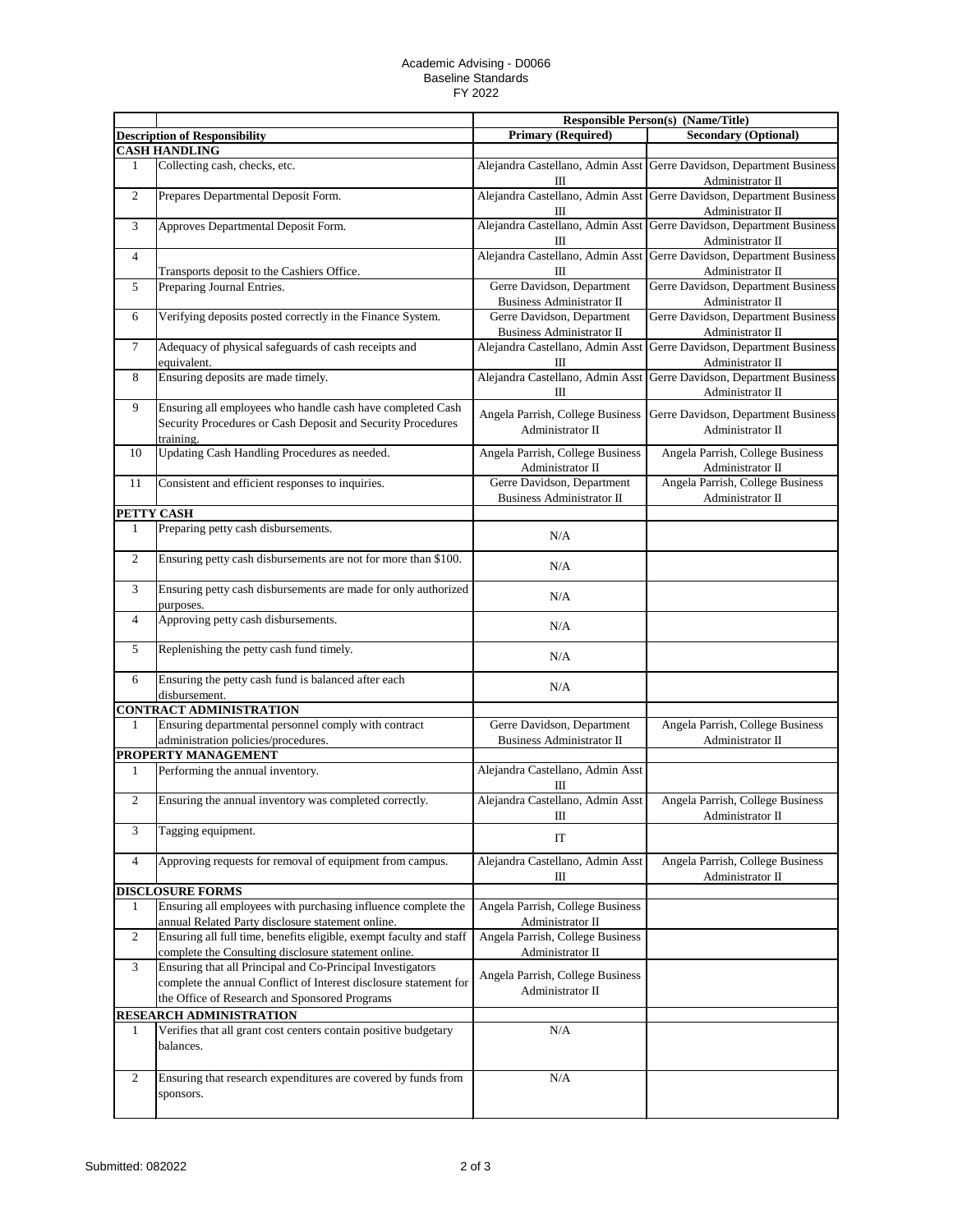## Academic Advising - D0066 Baseline Standards FY 2022

|                |                                                                                                                                                                                  | <b>Responsible Person(s) (Name/Title)</b>                      |                                                                                          |
|----------------|----------------------------------------------------------------------------------------------------------------------------------------------------------------------------------|----------------------------------------------------------------|------------------------------------------------------------------------------------------|
|                | <b>Description of Responsibility</b>                                                                                                                                             | <b>Primary (Required)</b>                                      | <b>Secondary (Optional)</b>                                                              |
|                | <b>CASH HANDLING</b>                                                                                                                                                             |                                                                |                                                                                          |
| 1              | Collecting cash, checks, etc.                                                                                                                                                    | Ш                                                              | Alejandra Castellano, Admin Asst Gerre Davidson, Department Business<br>Administrator II |
| $\overline{c}$ | Prepares Departmental Deposit Form.                                                                                                                                              | III                                                            | Alejandra Castellano, Admin Asst Gerre Davidson, Department Business<br>Administrator II |
| 3              | Approves Departmental Deposit Form.                                                                                                                                              | Alejandra Castellano, Admin Asst<br>$\mathbf{I}$               | Gerre Davidson, Department Business<br>Administrator II                                  |
| 4              | Transports deposit to the Cashiers Office.                                                                                                                                       | Alejandra Castellano, Admin Asst<br>$\mathbf{I}$               | Gerre Davidson, Department Business<br>Administrator II                                  |
| 5              |                                                                                                                                                                                  | Gerre Davidson, Department                                     | Gerre Davidson, Department Business                                                      |
|                | Preparing Journal Entries.                                                                                                                                                       | <b>Business Administrator II</b>                               | Administrator II                                                                         |
| 6              | Verifying deposits posted correctly in the Finance System.                                                                                                                       | Gerre Davidson, Department<br><b>Business Administrator II</b> | Gerre Davidson, Department Business<br>Administrator II                                  |
| $\tau$         | Adequacy of physical safeguards of cash receipts and<br>equivalent.                                                                                                              | Alejandra Castellano, Admin Asst<br>Ш                          | Gerre Davidson, Department Business<br>Administrator II                                  |
| 8              | Ensuring deposits are made timely.                                                                                                                                               | Alejandra Castellano, Admin Asst<br>$\mathbf{I}$               | Gerre Davidson, Department Business<br>Administrator II                                  |
| 9              | Ensuring all employees who handle cash have completed Cash                                                                                                                       |                                                                |                                                                                          |
|                | Security Procedures or Cash Deposit and Security Procedures<br>training.                                                                                                         | Angela Parrish, College Business<br>Administrator II           | Gerre Davidson, Department Business<br>Administrator II                                  |
| 10             | Updating Cash Handling Procedures as needed.                                                                                                                                     | Angela Parrish, College Business<br>Administrator II           | Angela Parrish, College Business<br>Administrator II                                     |
| 11             | Consistent and efficient responses to inquiries.                                                                                                                                 | Gerre Davidson, Department<br><b>Business Administrator II</b> | Angela Parrish, College Business<br>Administrator II                                     |
| PETTY CASH     |                                                                                                                                                                                  |                                                                |                                                                                          |
| 1              | Preparing petty cash disbursements.                                                                                                                                              | N/A                                                            |                                                                                          |
| $\overline{c}$ | Ensuring petty cash disbursements are not for more than \$100.                                                                                                                   | N/A                                                            |                                                                                          |
| 3              | Ensuring petty cash disbursements are made for only authorized<br>purposes.                                                                                                      | N/A                                                            |                                                                                          |
| $\overline{4}$ | Approving petty cash disbursements.                                                                                                                                              | N/A                                                            |                                                                                          |
| 5              | Replenishing the petty cash fund timely.                                                                                                                                         | N/A                                                            |                                                                                          |
| 6              | Ensuring the petty cash fund is balanced after each<br>disbursement.                                                                                                             | N/A                                                            |                                                                                          |
|                | <b>CONTRACT ADMINISTRATION</b>                                                                                                                                                   |                                                                |                                                                                          |
| 1              | Ensuring departmental personnel comply with contract<br>administration policies/procedures.                                                                                      | Gerre Davidson, Department<br><b>Business Administrator II</b> | Angela Parrish, College Business<br>Administrator II                                     |
|                | PROPERTY MANAGEMENT                                                                                                                                                              |                                                                |                                                                                          |
| 1              | Performing the annual inventory.                                                                                                                                                 | Alejandra Castellano, Admin Asst<br>Ш                          |                                                                                          |
| $\overline{2}$ | Ensuring the annual inventory was completed correctly.                                                                                                                           | Alejandra Castellano, Admin Asst<br>$\mathbf{I}$               | Angela Parrish, College Business<br>Administrator II                                     |
| 3              | Tagging equipment.                                                                                                                                                               | IT                                                             |                                                                                          |
| $\overline{4}$ | Approving requests for removal of equipment from campus.                                                                                                                         | Alejandra Castellano, Admin Asst<br>Ш                          | Angela Parrish, College Business<br>Administrator II                                     |
|                | <b>DISCLOSURE FORMS</b>                                                                                                                                                          |                                                                |                                                                                          |
| 1              | Ensuring all employees with purchasing influence complete the<br>annual Related Party disclosure statement online.                                                               | Angela Parrish, College Business<br>Administrator II           |                                                                                          |
| $\overline{c}$ | Ensuring all full time, benefits eligible, exempt faculty and staff<br>complete the Consulting disclosure statement online.                                                      | Angela Parrish, College Business<br>Administrator II           |                                                                                          |
| 3              | Ensuring that all Principal and Co-Principal Investigators<br>complete the annual Conflict of Interest disclosure statement for<br>the Office of Research and Sponsored Programs | Angela Parrish, College Business<br>Administrator II           |                                                                                          |
|                | <b>RESEARCH ADMINISTRATION</b>                                                                                                                                                   |                                                                |                                                                                          |
| 1              | Verifies that all grant cost centers contain positive budgetary<br>balances.                                                                                                     | N/A                                                            |                                                                                          |
| $\overline{2}$ | Ensuring that research expenditures are covered by funds from<br>sponsors.                                                                                                       | N/A                                                            |                                                                                          |